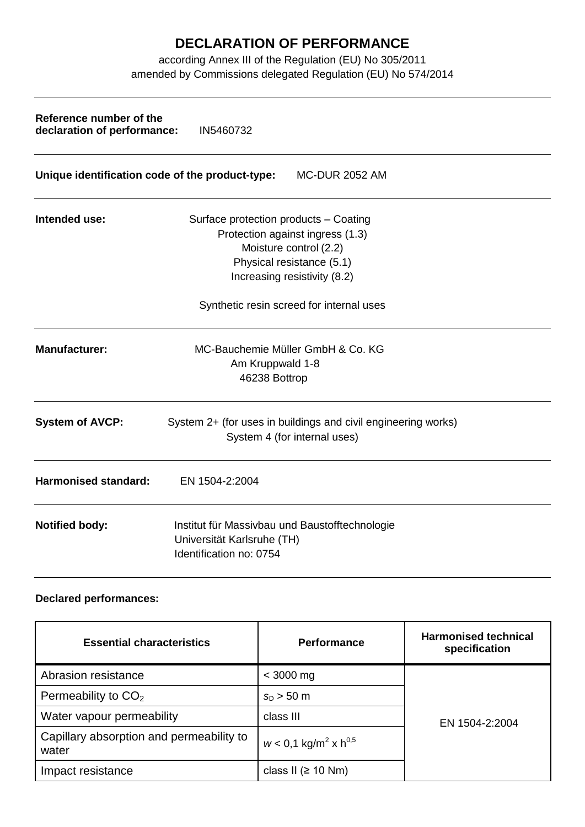## **DECLARATION OF PERFORMANCE**

according Annex III of the Regulation (EU) No 305/2011 amended by Commissions delegated Regulation (EU) No 574/2014

| Reference number of the<br>declaration of performance:                   | IN5460732                                                                                                                                                        |  |  |  |
|--------------------------------------------------------------------------|------------------------------------------------------------------------------------------------------------------------------------------------------------------|--|--|--|
| Unique identification code of the product-type:<br><b>MC-DUR 2052 AM</b> |                                                                                                                                                                  |  |  |  |
| Intended use:                                                            | Surface protection products - Coating<br>Protection against ingress (1.3)<br>Moisture control (2.2)<br>Physical resistance (5.1)<br>Increasing resistivity (8.2) |  |  |  |
|                                                                          | Synthetic resin screed for internal uses                                                                                                                         |  |  |  |
| <b>Manufacturer:</b>                                                     | MC-Bauchemie Müller GmbH & Co. KG<br>Am Kruppwald 1-8<br>46238 Bottrop                                                                                           |  |  |  |
| <b>System of AVCP:</b>                                                   | System 2+ (for uses in buildings and civil engineering works)<br>System 4 (for internal uses)                                                                    |  |  |  |
| <b>Harmonised standard:</b>                                              | EN 1504-2:2004                                                                                                                                                   |  |  |  |
| <b>Notified body:</b>                                                    | Institut für Massivbau und Baustofftechnologie<br>Universität Karlsruhe (TH)<br>Identification no: 0754                                                          |  |  |  |

## **Declared performances:**

| <b>Essential characteristics</b>                  | <b>Performance</b>                             | <b>Harmonised technical</b><br>specification |
|---------------------------------------------------|------------------------------------------------|----------------------------------------------|
| Abrasion resistance                               | $<$ 3000 mg                                    | EN 1504-2:2004                               |
| Permeability to $CO2$                             | $s_{D} > 50$ m                                 |                                              |
| Water vapour permeability                         | class III                                      |                                              |
| Capillary absorption and permeability to<br>water | $w < 0.1$ kg/m <sup>2</sup> x h <sup>0,5</sup> |                                              |
| Impact resistance                                 | class II ( $\geq$ 10 Nm)                       |                                              |